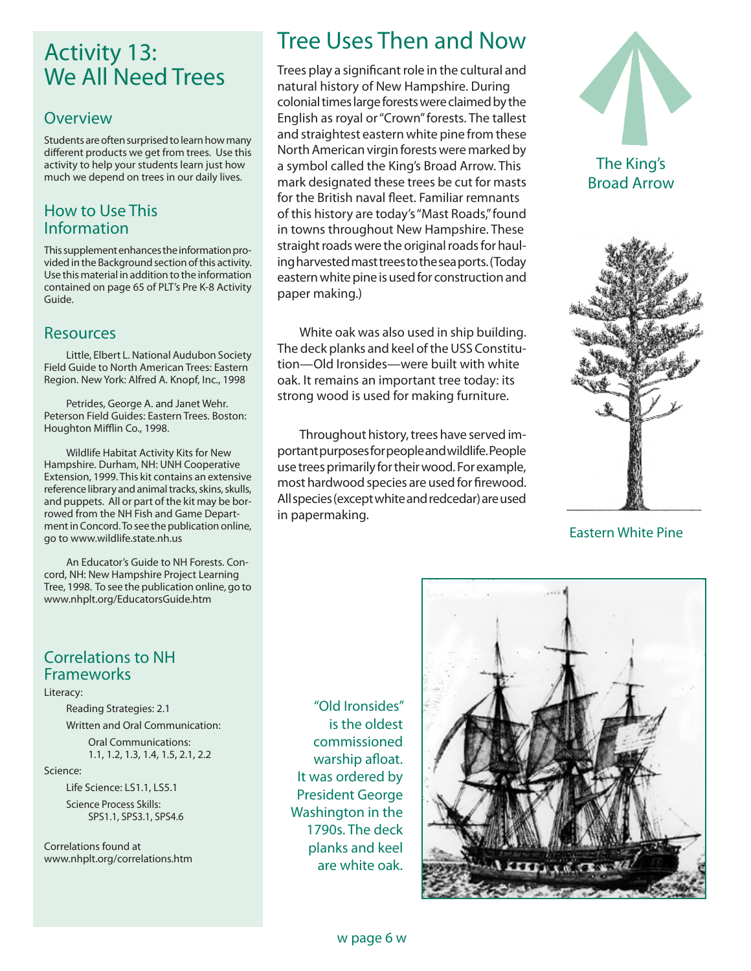# Activity 13: We All Need Trees

#### **Overview**

Students are often surprised to learn how many different products we get from trees. Use this activity to help your students learn just how much we depend on trees in our daily lives.

#### How to Use This Information

This supplement enhances the information provided in the Background section of this activity. Use this material in addition to the information contained on page 65 of PLT's Pre K-8 Activity Guide.

## Resources

Little, Elbert L. National Audubon Society Field Guide to North American Trees: Eastern Region. New York: Alfred A. Knopf, Inc., 1998

Petrides, George A. and Janet Wehr. Peterson Field Guides: Eastern Trees. Boston: Houghton Mifflin Co., 1998.

Wildlife Habitat Activity Kits for New Hampshire. Durham, NH: UNH Cooperative Extension, 1999. This kit contains an extensive reference library and animal tracks, skins, skulls, and puppets. All or part of the kit may be borrowed from the NH Fish and Game Department in Concord. To see the publication online, go to www.wildlife.state.nh.us

An Educator's Guide to NH Forests. Concord, NH: New Hampshire Project Learning Tree, 1998. To see the publication online, go to www.nhplt.org/EducatorsGuide.htm

#### Correlations to NH Frameworks

#### Literacy:

Reading Strategies: 2.1

 Written and Oral Communication: Oral Communications: 1.1, 1.2, 1.3, 1.4, 1.5, 2.1, 2.2

#### Science:

 Life Science: LS1.1, LS5.1 Science Process Skills: SPS1.1, SPS3.1, SPS4.6

Correlations found at www.nhplt.org/correlations.htm

"Old Ironsides" is the oldest commissioned warship afloat. It was ordered by President George Washington in the 1790s. The deck planks and keel are white oak.



Trees play a significant role in the cultural and natural history of New Hampshire. During colonial times large forests were claimed by the English as royal or "Crown" forests. The tallest and straightest eastern white pine from these North American virgin forests were marked by a symbol called the King's Broad Arrow. This mark designated these trees be cut for masts for the British naval fleet. Familiar remnants of this history are today's "Mast Roads," found in towns throughout New Hampshire. These straight roads were the original roads for hauling harvested mast trees to the sea ports. (Today eastern white pine is used for construction and paper making.)

White oak was also used in ship building. The deck planks and keel of the USS Constitution—Old Ironsides—were built with white oak. It remains an important tree today: its strong wood is used for making furniture.

Throughout history, trees have served important purposes for people and wildlife. People use trees primarily for their wood. For example, most hardwood species are used for firewood. All species (except white and redcedar) are used in papermaking.





Eastern White Pine

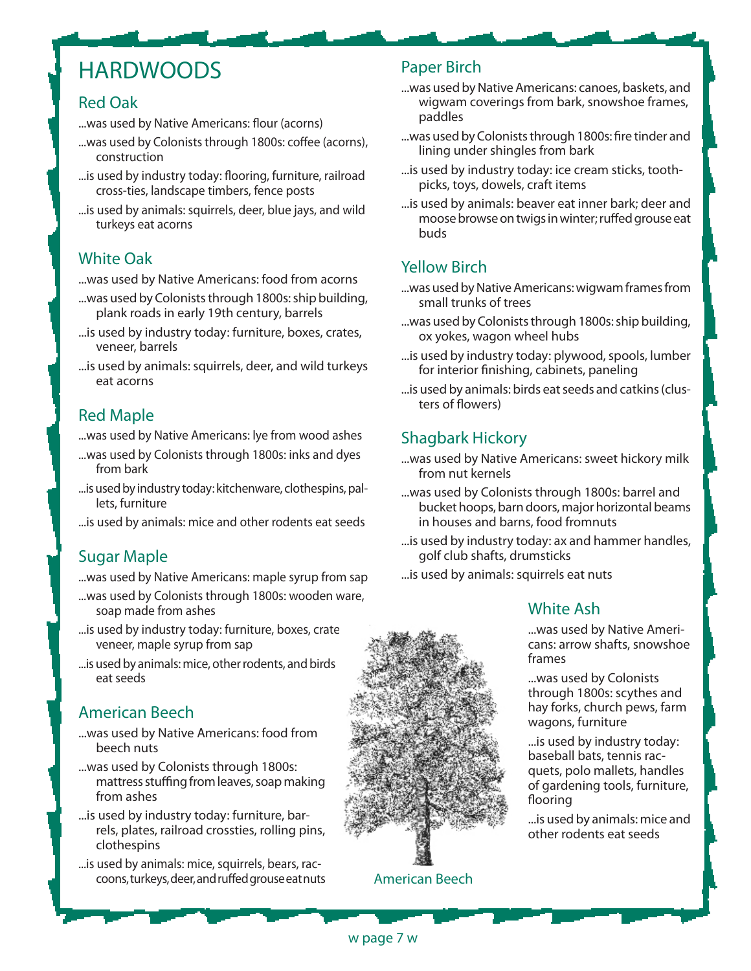# **HARDWOODS**

#### Red Oak

- ...was used by Native Americans: flour (acorns)
- ...was used by Colonists through 1800s: coffee (acorns), construction
- ...is used by industry today: flooring, furniture, railroad cross-ties, landscape timbers, fence posts
- ...is used by animals: squirrels, deer, blue jays, and wild turkeys eat acorns

## White Oak

...was used by Native Americans: food from acorns

- ...was used by Colonists through 1800s: ship building, plank roads in early 19th century, barrels
- ...is used by industry today: furniture, boxes, crates, veneer, barrels
- ...is used by animals: squirrels, deer, and wild turkeys eat acorns

## Red Maple

...was used by Native Americans: lye from wood ashes

- ...was used by Colonists through 1800s: inks and dyes from bark
- ...is used by industry today: kitchenware, clothespins, pallets, furniture

...is used by animals: mice and other rodents eat seeds

## Sugar Maple

...was used by Native Americans: maple syrup from sap

- ...was used by Colonists through 1800s: wooden ware, soap made from ashes
- ... is used by industry today: furniture, boxes, crate veneer, maple syrup from sap
- ...is used by animals: mice, other rodents, and birds eat seeds

## American Beech

- ...was used by Native Americans: food from beech nuts
- ...was used by Colonists through 1800s: mattress stuffing from leaves, soap making from ashes
- ...is used by industry today: furniture, barrels, plates, railroad crossties, rolling pins, clothespins
- ...is used by animals: mice, squirrels, bears, raccoons, turkeys, deer, and ruffed grouse eat nuts

## Paper Birch

- ...was used by Native Americans: canoes, baskets, and wigwam coverings from bark, snowshoe frames, paddles
- ...was used by Colonists through 1800s: fire tinder and lining under shingles from bark
- ...is used by industry today: ice cream sticks, toothpicks, toys, dowels, craft items
- ...is used by animals: beaver eat inner bark; deer and moose browse on twigs in winter; ruffed grouse eat buds

## Yellow Birch

- ...was used by Native Americans: wigwam frames from small trunks of trees
- ...was used by Colonists through 1800s: ship building, ox yokes, wagon wheel hubs
- ...is used by industry today: plywood, spools, lumber for interior finishing, cabinets, paneling
- ...is used by animals: birds eat seeds and catkins (clusters of flowers)

## Shagbark Hickory

- ...was used by Native Americans: sweet hickory milk from nut kernels
- ...was used by Colonists through 1800s: barrel and bucket hoops, barn doors, major horizontal beams in houses and barns, food fromnuts
- ...is used by industry today: ax and hammer handles, golf club shafts, drumsticks

...is used by animals: squirrels eat nuts

## White Ash

...was used by Native Americans: arrow shafts, snowshoe frames

...was used by Colonists through 1800s: scythes and hay forks, church pews, farm wagons, furniture

...is used by industry today: baseball bats, tennis racquets, polo mallets, handles of gardening tools, furniture, flooring

...is used by animals: mice and other rodents eat seeds

American Beech